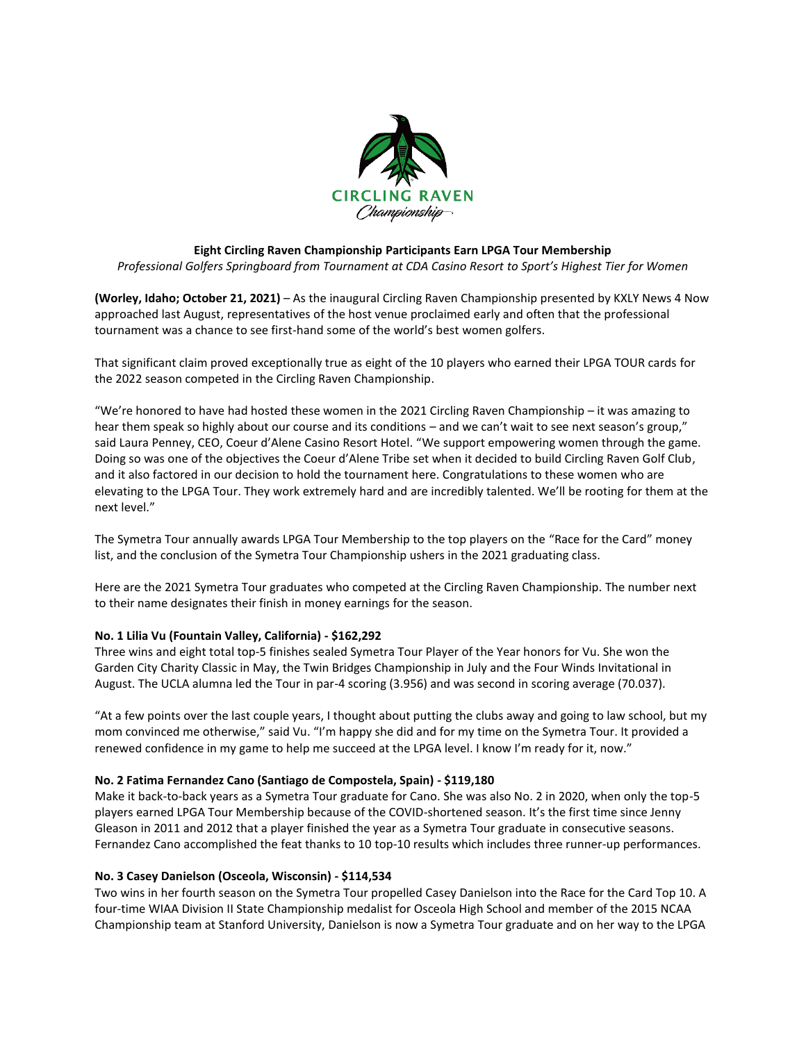

## **Eight Circling Raven Championship Participants Earn LPGA Tour Membership**

*Professional Golfers Springboard from Tournament at CDA Casino Resort to Sport's Highest Tier for Women*

**(Worley, Idaho; October 21, 2021)** – As the inaugural Circling Raven Championship presented by KXLY News 4 Now approached last August, representatives of the host venue proclaimed early and often that the professional tournament was a chance to see first-hand some of the world's best women golfers.

That significant claim proved exceptionally true as eight of the 10 players who earned their LPGA TOUR cards for the 2022 season competed in the Circling Raven Championship.

"We're honored to have had hosted these women in the 2021 Circling Raven Championship – it was amazing to hear them speak so highly about our course and its conditions – and we can't wait to see next season's group," said Laura Penney, CEO, Coeur d'Alene Casino Resort Hotel. "We support empowering women through the game. Doing so was one of the objectives the Coeur d'Alene Tribe set when it decided to build Circling Raven Golf Club, and it also factored in our decision to hold the tournament here. Congratulations to these women who are elevating to the LPGA Tour. They work extremely hard and are incredibly talented. We'll be rooting for them at the next level."

The Symetra Tour annually awards LPGA Tour Membership to the top players on the "Race for the Card" money list, and the conclusion of the Symetra Tour Championship ushers in the 2021 graduating class.

Here are the 2021 Symetra Tour graduates who competed at the Circling Raven Championship. The number next to their name designates their finish in money earnings for the season.

### **No. 1 Lilia Vu (Fountain Valley, California) - \$162,292**

Three wins and eight total top-5 finishes sealed Symetra Tour Player of the Year honors for Vu. She won the Garden City Charity Classic in May, the Twin Bridges Championship in July and the Four Winds Invitational in August. The UCLA alumna led the Tour in par-4 scoring (3.956) and was second in scoring average (70.037).

"At a few points over the last couple years, I thought about putting the clubs away and going to law school, but my mom convinced me otherwise," said Vu. "I'm happy she did and for my time on the Symetra Tour. It provided a renewed confidence in my game to help me succeed at the LPGA level. I know I'm ready for it, now."

### **No. 2 Fatima Fernandez Cano (Santiago de Compostela, Spain) - \$119,180**

Make it back-to-back years as a Symetra Tour graduate for Cano. She was also No. 2 in 2020, when only the top-5 players earned LPGA Tour Membership because of the COVID-shortened season. It's the first time since Jenny Gleason in 2011 and 2012 that a player finished the year as a Symetra Tour graduate in consecutive seasons. Fernandez Cano accomplished the feat thanks to 10 top-10 results which includes three runner-up performances.

### **No. 3 Casey Danielson (Osceola, Wisconsin) - \$114,534**

Two wins in her fourth season on the Symetra Tour propelled Casey Danielson into the Race for the Card Top 10. A four-time WIAA Division II State Championship medalist for Osceola High School and member of the 2015 NCAA Championship team at Stanford University, Danielson is now a Symetra Tour graduate and on her way to the LPGA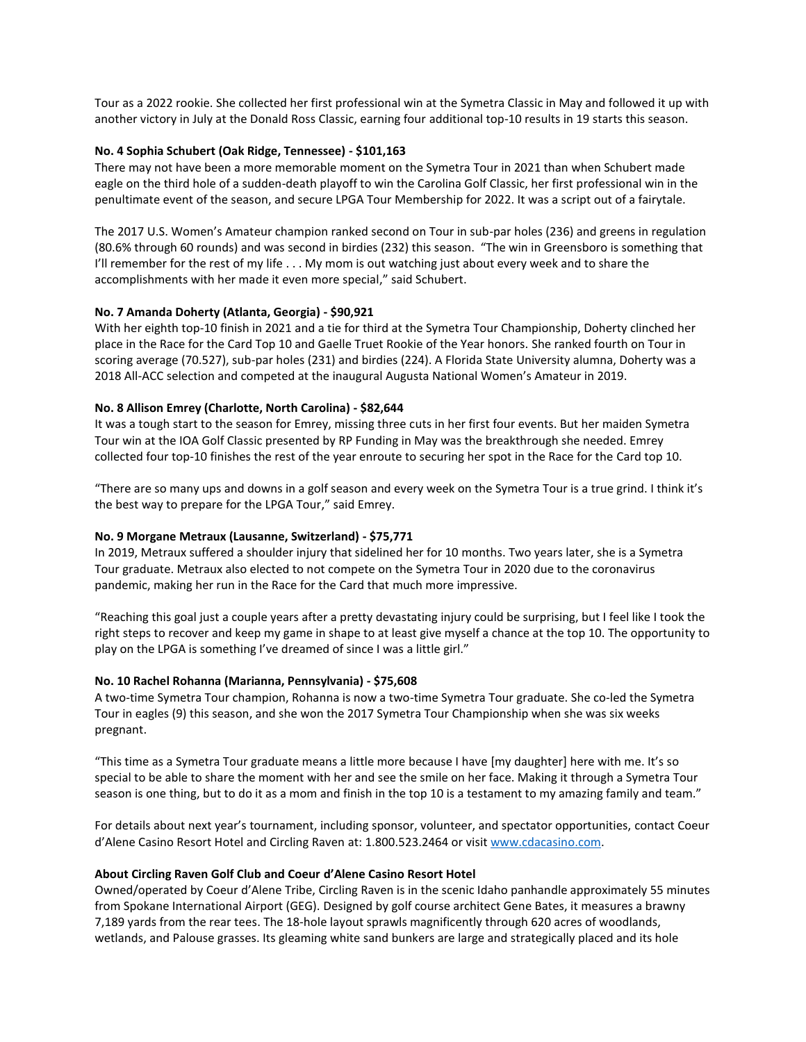Tour as a 2022 rookie. She collected her first professional win at the Symetra Classic in May and followed it up with another victory in July at the Donald Ross Classic, earning four additional top-10 results in 19 starts this season.

# **No. 4 Sophia Schubert (Oak Ridge, Tennessee) - \$101,163**

There may not have been a more memorable moment on the Symetra Tour in 2021 than when Schubert made eagle on the third hole of a sudden-death playoff to win the Carolina Golf Classic, her first professional win in the penultimate event of the season, and secure LPGA Tour Membership for 2022. It was a script out of a fairytale.

The 2017 U.S. Women's Amateur champion ranked second on Tour in sub-par holes (236) and greens in regulation (80.6% through 60 rounds) and was second in birdies (232) this season. "The win in Greensboro is something that I'll remember for the rest of my life . . . My mom is out watching just about every week and to share the accomplishments with her made it even more special," said Schubert.

## **No. 7 Amanda Doherty (Atlanta, Georgia) - \$90,921**

With her eighth top-10 finish in 2021 and a tie for third at the Symetra Tour Championship, Doherty clinched her place in the Race for the Card Top 10 and Gaelle Truet Rookie of the Year honors. She ranked fourth on Tour in scoring average (70.527), sub-par holes (231) and birdies (224). A Florida State University alumna, Doherty was a 2018 All-ACC selection and competed at the inaugural Augusta National Women's Amateur in 2019.

## **No. 8 Allison Emrey (Charlotte, North Carolina) - \$82,644**

It was a tough start to the season for Emrey, missing three cuts in her first four events. But her maiden Symetra Tour win at the IOA Golf Classic presented by RP Funding in May was the breakthrough she needed. Emrey collected four top-10 finishes the rest of the year enroute to securing her spot in the Race for the Card top 10.

"There are so many ups and downs in a golf season and every week on the Symetra Tour is a true grind. I think it's the best way to prepare for the LPGA Tour," said Emrey.

### **No. 9 Morgane Metraux (Lausanne, Switzerland) - \$75,771**

In 2019, Metraux suffered a shoulder injury that sidelined her for 10 months. Two years later, she is a Symetra Tour graduate. Metraux also elected to not compete on the Symetra Tour in 2020 due to the coronavirus pandemic, making her run in the Race for the Card that much more impressive.

"Reaching this goal just a couple years after a pretty devastating injury could be surprising, but I feel like I took the right steps to recover and keep my game in shape to at least give myself a chance at the top 10. The opportunity to play on the LPGA is something I've dreamed of since I was a little girl."

### **No. 10 Rachel Rohanna (Marianna, Pennsylvania) - \$75,608**

A two-time Symetra Tour champion, Rohanna is now a two-time Symetra Tour graduate. She co-led the Symetra Tour in eagles (9) this season, and she won the 2017 Symetra Tour Championship when she was six weeks pregnant.

"This time as a Symetra Tour graduate means a little more because I have [my daughter] here with me. It's so special to be able to share the moment with her and see the smile on her face. Making it through a Symetra Tour season is one thing, but to do it as a mom and finish in the top 10 is a testament to my amazing family and team."

For details about next year's tournament, including sponsor, volunteer, and spectator opportunities, contact Coeur d'Alene Casino Resort Hotel and Circling Raven at: 1.800.523.2464 or visi[t www.cdacasino.com.](http://www.cdacasino.com/)

### **About Circling Raven Golf Club and Coeur d'Alene Casino Resort Hotel**

Owned/operated by Coeur d'Alene Tribe, Circling Raven is in the scenic Idaho panhandle approximately 55 minutes from Spokane International Airport (GEG). Designed by golf course architect Gene Bates, it measures a brawny 7,189 yards from the rear tees. The 18-hole layout sprawls magnificently through 620 acres of woodlands, wetlands, and Palouse grasses. Its gleaming white sand bunkers are large and strategically placed and its hole